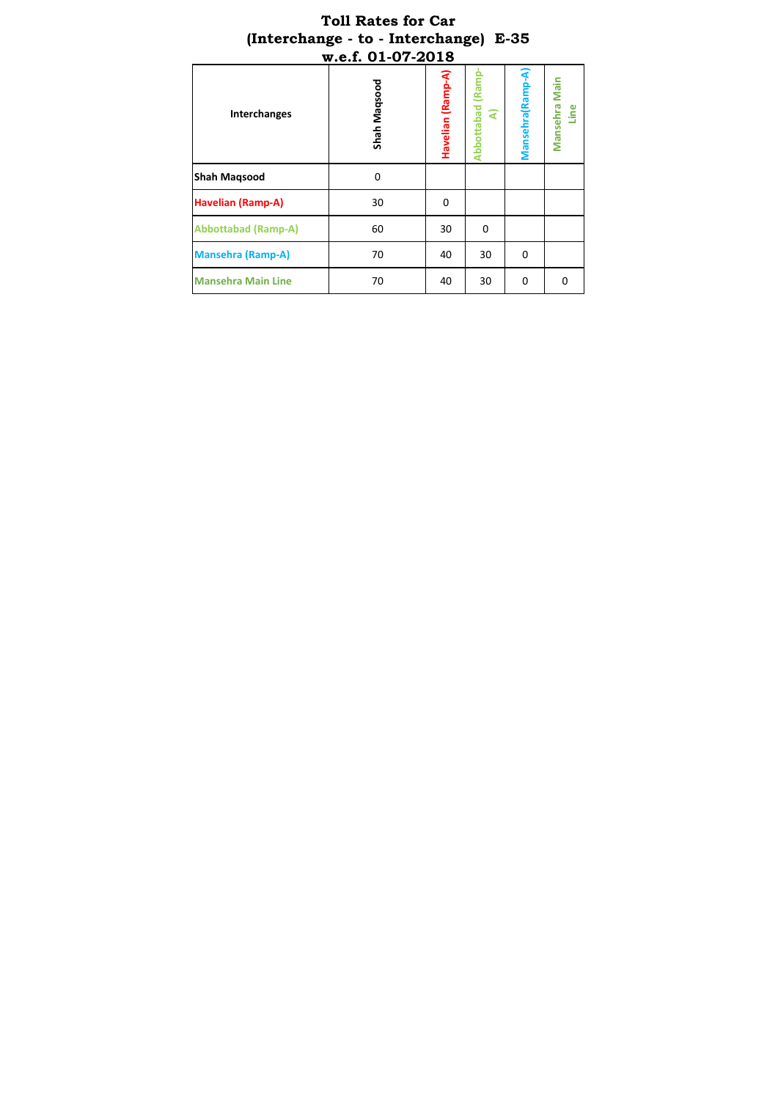|                            | (Interchange - to - Interchange) E-35 |                   |                      |                  |                       |
|----------------------------|---------------------------------------|-------------------|----------------------|------------------|-----------------------|
| <b>Interchanges</b>        | w.e.f. 01-07-2018<br>Shah Maqsood     | Havelian (Ramp-A) | Abbottabad (Ram<br>ৰ | Mansehra (Ramp-A | Mansehra Main<br>Line |
| <b>Shah Maqsood</b>        | 0                                     |                   |                      |                  |                       |
| <b>Havelian (Ramp-A)</b>   | 30                                    | 0                 |                      |                  |                       |
| <b>Abbottabad (Ramp-A)</b> | 60                                    | 30                | 0                    |                  |                       |
| <b>Mansehra (Ramp-A)</b>   | 70                                    | 40                | 30                   | $\Omega$         |                       |
| <b>Mansehra Main Line</b>  | 70                                    | 40                | 30                   | $\Omega$         | $\Omega$              |

# **Toll Rates for Car**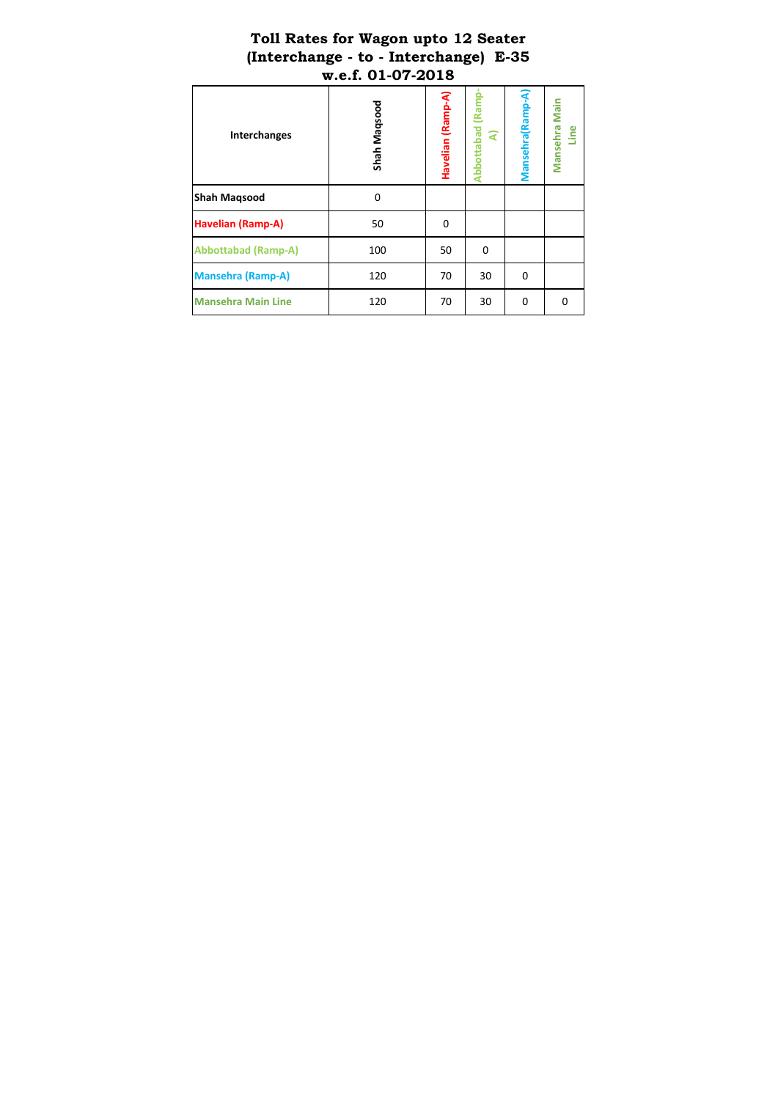#### **Toll Rates for Wagon upto 12 Seater (Interchange - to - Interchange) E-35 w.e.f. 01-07-2018**

| <b>Interchanges</b>        | Shah Maqsood | Havelian (Ramp-A) | Abbottabad (Ramp<br>ৰ | Mansehra (Ramp-A | Mansehra Main<br>Line |
|----------------------------|--------------|-------------------|-----------------------|------------------|-----------------------|
| <b>Shah Maqsood</b>        | $\Omega$     |                   |                       |                  |                       |
| <b>Havelian (Ramp-A)</b>   | 50           | 0                 |                       |                  |                       |
| <b>Abbottabad (Ramp-A)</b> | 100          | 50                | 0                     |                  |                       |
| <b>Mansehra (Ramp-A)</b>   | 120          | 70                | 30                    | 0                |                       |
| <b>Mansehra Main Line</b>  | 120          | 70                | 30                    | $\Omega$         | <sup>0</sup>          |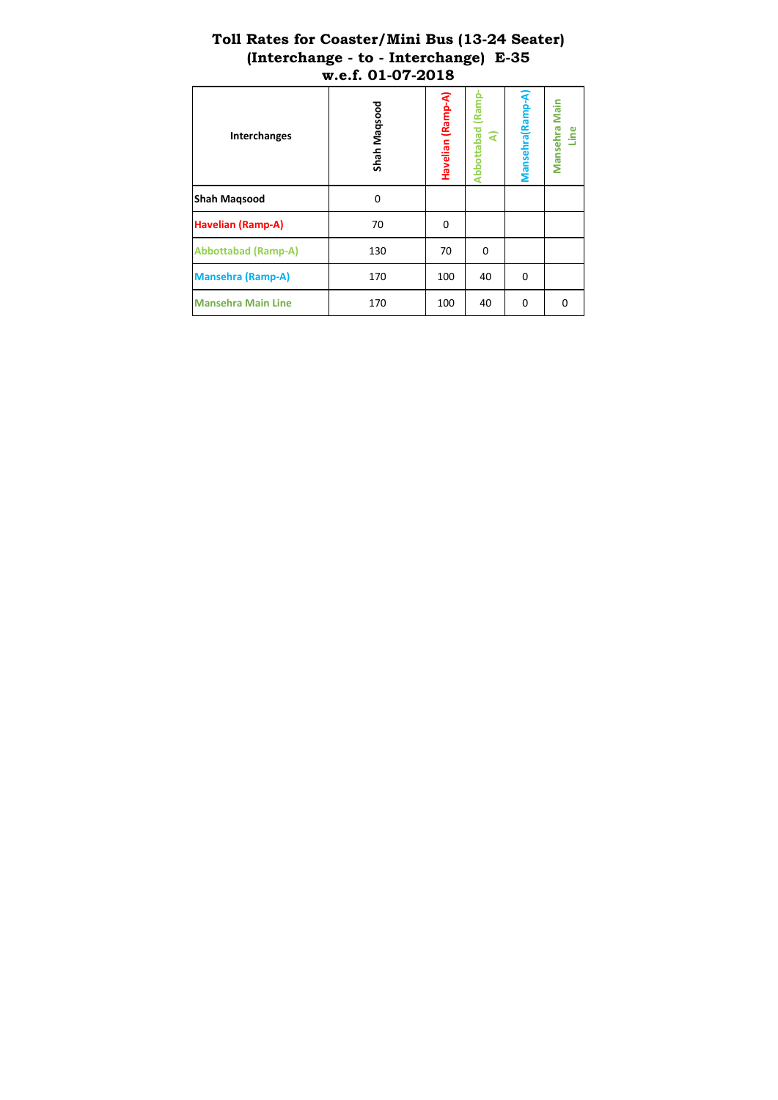|                            | (Interchange - to - Interchange)<br>w.e.f. 01-07-2018 |                   |                       | じ-35              |                       |
|----------------------------|-------------------------------------------------------|-------------------|-----------------------|-------------------|-----------------------|
| <b>Interchanges</b>        | Shah Maqsood                                          | Havelian (Ramp-A) | Abbottabad (Ramp<br>ৱ | Mansehra (Ramp-A) | Mansehra Main<br>Line |
| <b>Shah Magsood</b>        | $\Omega$                                              |                   |                       |                   |                       |
| <b>Havelian (Ramp-A)</b>   | 70                                                    | 0                 |                       |                   |                       |
| <b>Abbottabad (Ramp-A)</b> | 130                                                   | 70                | 0                     |                   |                       |
| <b>Mansehra (Ramp-A)</b>   | 170                                                   | 100               | 40                    | $\Omega$          |                       |
| <b>Mansehra Main Line</b>  | 170                                                   | 100               | 40                    | 0                 | 0                     |

# **Toll Rates for Coaster/Mini Bus (13-24 Seater) (Interchange - to - Interchange) E-35**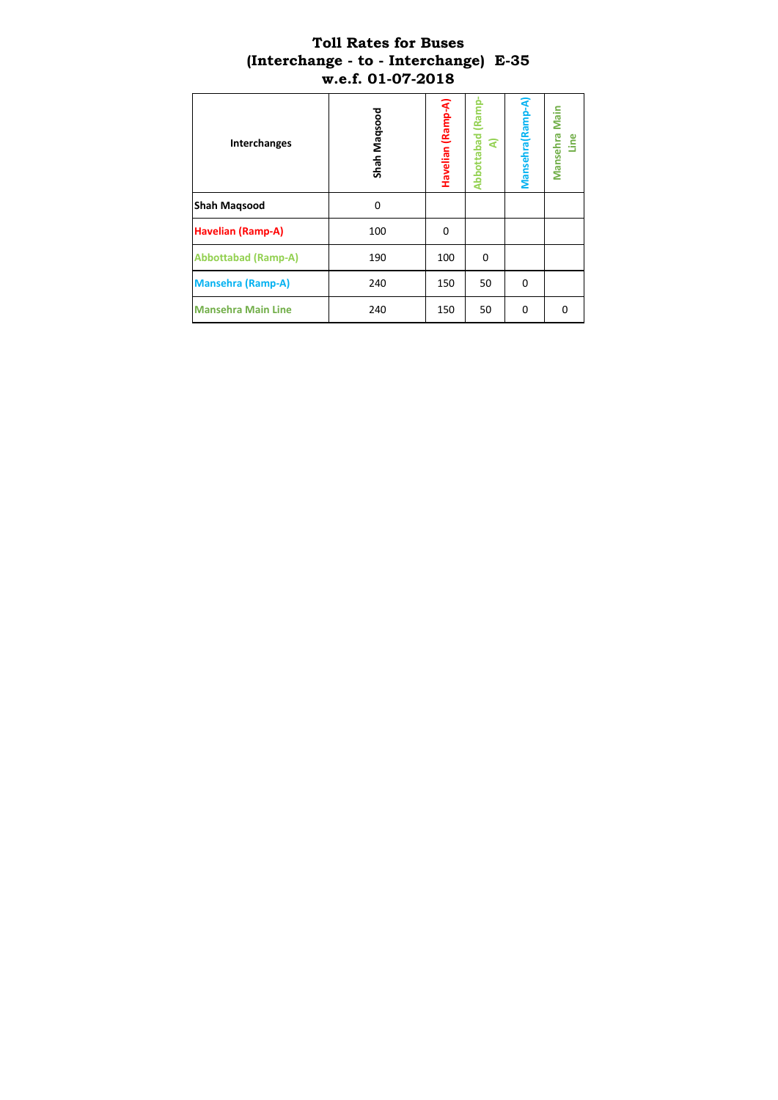#### **Toll Rates for Buses (Interchange - to - Interchange) E-35 w.e.f. 01-07-2018**

| Interchanges               | Shah Maqsood | Havelian (Ramp-A) | Abbottabad (Ramp<br>ৰ | Mansehra (Ramp-A) | Mansehra Main<br>Line |
|----------------------------|--------------|-------------------|-----------------------|-------------------|-----------------------|
| <b>Shah Maqsood</b>        | 0            |                   |                       |                   |                       |
| <b>Havelian (Ramp-A)</b>   | 100          | 0                 |                       |                   |                       |
| <b>Abbottabad (Ramp-A)</b> | 190          | 100               | 0                     |                   |                       |
| <b>Mansehra (Ramp-A)</b>   | 240          | 150               | 50                    | 0                 |                       |
| <b>Mansehra Main Line</b>  | 240          | 150               | 50                    | 0                 | $\Omega$              |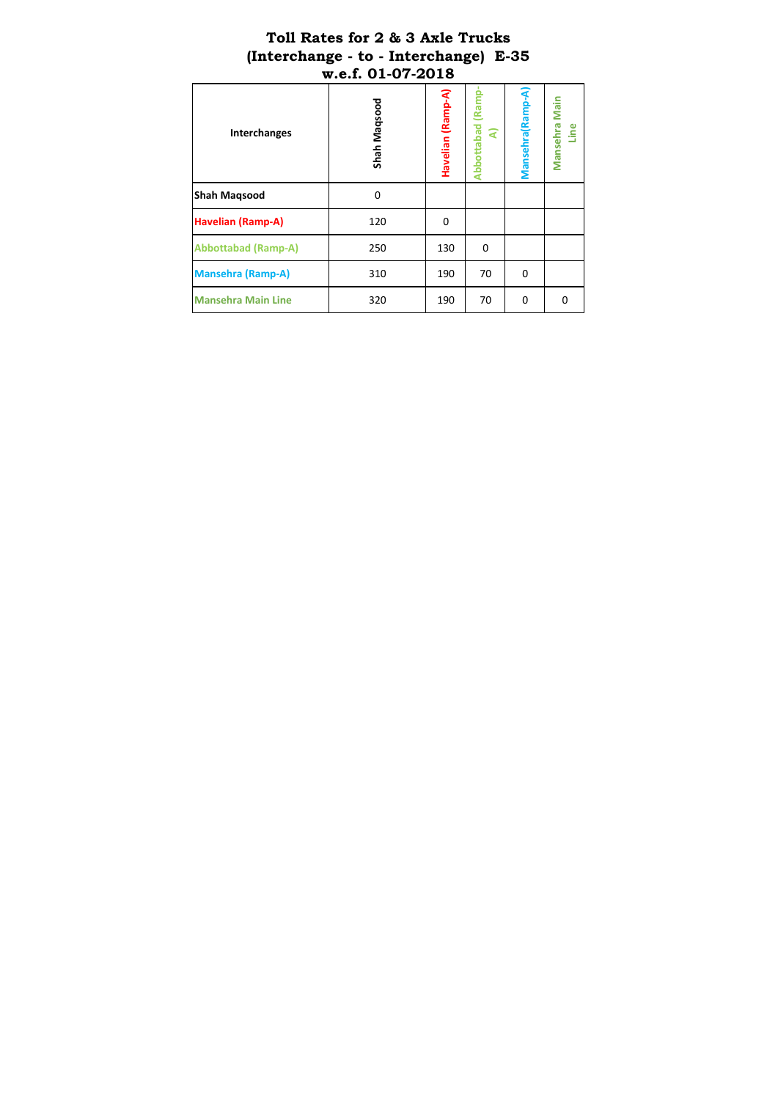## **Toll Rates for 2 & 3 Axle Trucks (Interchange - to - Interchange) E-35 w.e.f. 01-07-2018**

| Shah Maqsood | Havelian (Ramp-A) | <b>Abbottabad (Ramp</b><br>੨ | Mansehra (Ramp-A) | Mansehra Main<br>Line |
|--------------|-------------------|------------------------------|-------------------|-----------------------|
| 0            |                   |                              |                   |                       |
| 120          | 0                 |                              |                   |                       |
| 250          | 130               | $\mathbf 0$                  |                   |                       |
| 310          | 190               | 70                           | 0                 |                       |
| 320          | 190               | 70                           | 0                 | O                     |
|              |                   |                              |                   |                       |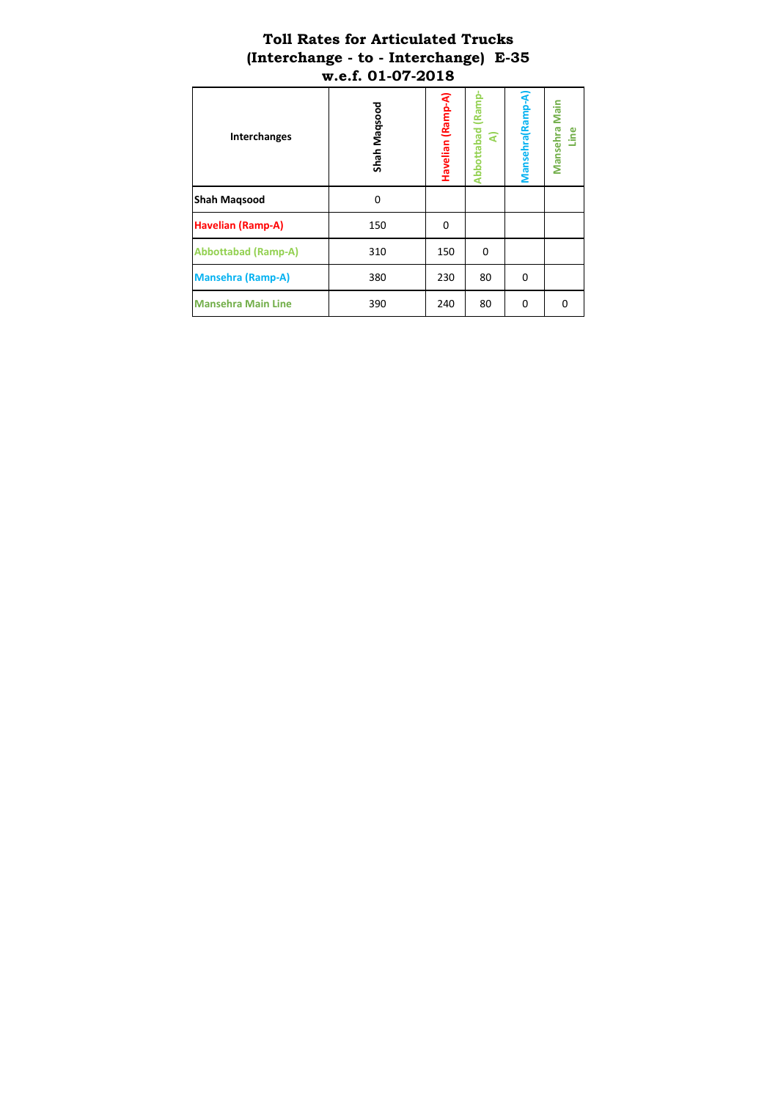## **Toll Rates for Articulated Trucks (Interchange - to - Interchange) E-35 w.e.f. 01-07-2018**

| Interchanges               | Shah Maqsood | Havelian (Ramp-A) | Abbottabad (Ramp<br>੨ | Mansehra (Ramp-A | Mansehra Main<br>Line |
|----------------------------|--------------|-------------------|-----------------------|------------------|-----------------------|
| <b>Shah Magsood</b>        | 0            |                   |                       |                  |                       |
| <b>Havelian (Ramp-A)</b>   | 150          | 0                 |                       |                  |                       |
| <b>Abbottabad (Ramp-A)</b> | 310          | 150               | 0                     |                  |                       |
| <b>Mansehra (Ramp-A)</b>   | 380          | 230               | 80                    | $\Omega$         |                       |
| <b>Mansehra Main Line</b>  | 390          | 240               | 80                    | 0                | 0                     |